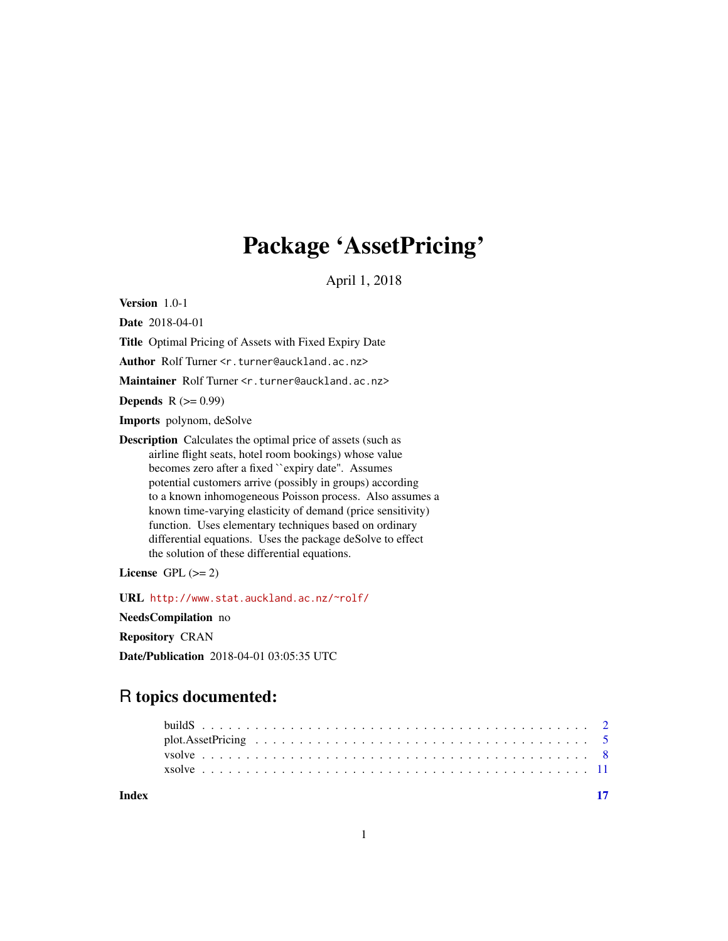## Package 'AssetPricing'

April 1, 2018

<span id="page-0-0"></span>Version 1.0-1

Date 2018-04-01

Title Optimal Pricing of Assets with Fixed Expiry Date

Author Rolf Turner <r.turner@auckland.ac.nz>

Maintainer Rolf Turner <r.turner@auckland.ac.nz>

Depends  $R (= 0.99)$ 

Imports polynom, deSolve

Description Calculates the optimal price of assets (such as airline flight seats, hotel room bookings) whose value becomes zero after a fixed ``expiry date''. Assumes potential customers arrive (possibly in groups) according to a known inhomogeneous Poisson process. Also assumes a known time-varying elasticity of demand (price sensitivity) function. Uses elementary techniques based on ordinary differential equations. Uses the package deSolve to effect the solution of these differential equations.

License GPL  $(>= 2)$ 

URL <http://www.stat.auckland.ac.nz/~rolf/>

NeedsCompilation no

Repository CRAN

Date/Publication 2018-04-01 03:05:35 UTC

## R topics documented:

| xsolve contract the contract of the contract of the contract of the contract of the contract of the contract of the contract of the contract of the contract of the contract of the contract of the contract of the contract o |  |  |  |  |  |  |  |  |  |  |  |  |  |  |  |  |  |  |  |  |
|--------------------------------------------------------------------------------------------------------------------------------------------------------------------------------------------------------------------------------|--|--|--|--|--|--|--|--|--|--|--|--|--|--|--|--|--|--|--|--|
|                                                                                                                                                                                                                                |  |  |  |  |  |  |  |  |  |  |  |  |  |  |  |  |  |  |  |  |

**Index** [17](#page-16-0)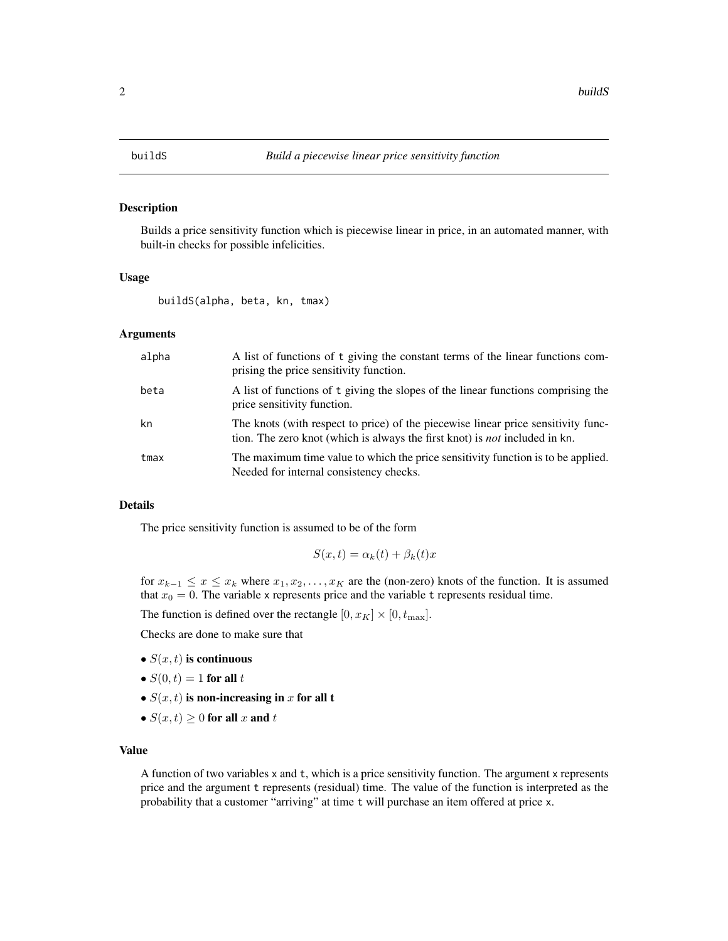<span id="page-1-1"></span><span id="page-1-0"></span>

## Description

Builds a price sensitivity function which is piecewise linear in price, in an automated manner, with built-in checks for possible infelicities.

## Usage

buildS(alpha, beta, kn, tmax)

## Arguments

| alpha | A list of functions of t giving the constant terms of the linear functions com-<br>prising the price sensitivity function.                                              |
|-------|-------------------------------------------------------------------------------------------------------------------------------------------------------------------------|
| beta  | A list of functions of t giving the slopes of the linear functions comprising the<br>price sensitivity function.                                                        |
| kn    | The knots (with respect to price) of the piecewise linear price sensitivity func-<br>tion. The zero knot (which is always the first knot) is <i>not</i> included in kn. |
| tmax  | The maximum time value to which the price sensitivity function is to be applied.<br>Needed for internal consistency checks.                                             |

## Details

The price sensitivity function is assumed to be of the form

$$
S(x,t) = \alpha_k(t) + \beta_k(t)x
$$

for  $x_{k-1} \leq x \leq x_k$  where  $x_1, x_2, \ldots, x_K$  are the (non-zero) knots of the function. It is assumed that  $x_0 = 0$ . The variable x represents price and the variable t represents residual time.

The function is defined over the rectangle  $[0, x_K] \times [0, t_{\text{max}}]$ .

Checks are done to make sure that

- $S(x, t)$  is continuous
- $S(0, t) = 1$  for all  $t$
- $S(x, t)$  is non-increasing in x for all t
- $S(x, t) \geq 0$  for all x and t

## Value

A function of two variables x and t, which is a price sensitivity function. The argument x represents price and the argument t represents (residual) time. The value of the function is interpreted as the probability that a customer "arriving" at time t will purchase an item offered at price x.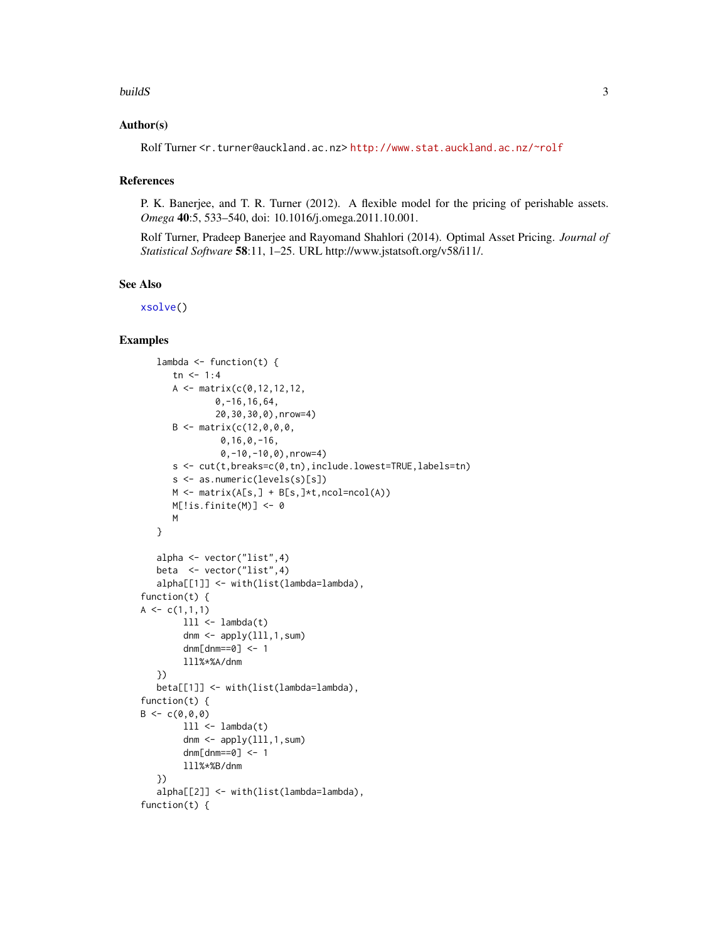## <span id="page-2-0"></span>buildS 3

## Author(s)

Rolf Turner <r.turner@auckland.ac.nz> <http://www.stat.auckland.ac.nz/~rolf>

## References

P. K. Banerjee, and T. R. Turner (2012). A flexible model for the pricing of perishable assets. *Omega* 40:5, 533–540, doi: 10.1016/j.omega.2011.10.001.

Rolf Turner, Pradeep Banerjee and Rayomand Shahlori (2014). Optimal Asset Pricing. *Journal of Statistical Software* 58:11, 1–25. URL http://www.jstatsoft.org/v58/i11/.

## See Also

[xsolve\(](#page-10-1))

## Examples

```
lambda \leq function(t) {
      tn < -1:4A \leq - matrix(c(0, 12, 12, 12, 12)0,-16,16,64,
               20,30,30,0),nrow=4)
      B \le - matrix(c(12,0,0,0,
                0,16,0,-16,
                0,-10,-10,0),nrow=4)
      s <- cut(t,breaks=c(0,tn),include.lowest=TRUE,labels=tn)
      s <- as.numeric(levels(s)[s])
      M \leftarrow \text{matrix}(A[s, ] + B[s, ] * t, \text{ncol} = \text{ncol}(A))M[!is.finite(M)] <- 0
      M
   }
   alpha <- vector("list",4)
   beta <- vector("list",4)
   alpha[[1]] <- with(list(lambda=lambda),
function(t) {
A \leftarrow c(1,1,1)111 < - lambda(t)
        dnm \leq apply(111,1,sum)
        dmm[dmm==0] <- 1
        lll%*%A/dnm
   })
   beta[[1]] <- with(list(lambda=lambda),
function(t) {
B \leq -c(0, 0, 0)111 < - lambda(t)
        dnm \leq apply(111,1,sum)
        dnm[dnm==0] <- 1
        lll%*%B/dnm
   })
   alpha[[2]] <- with(list(lambda=lambda),
function(t) {
```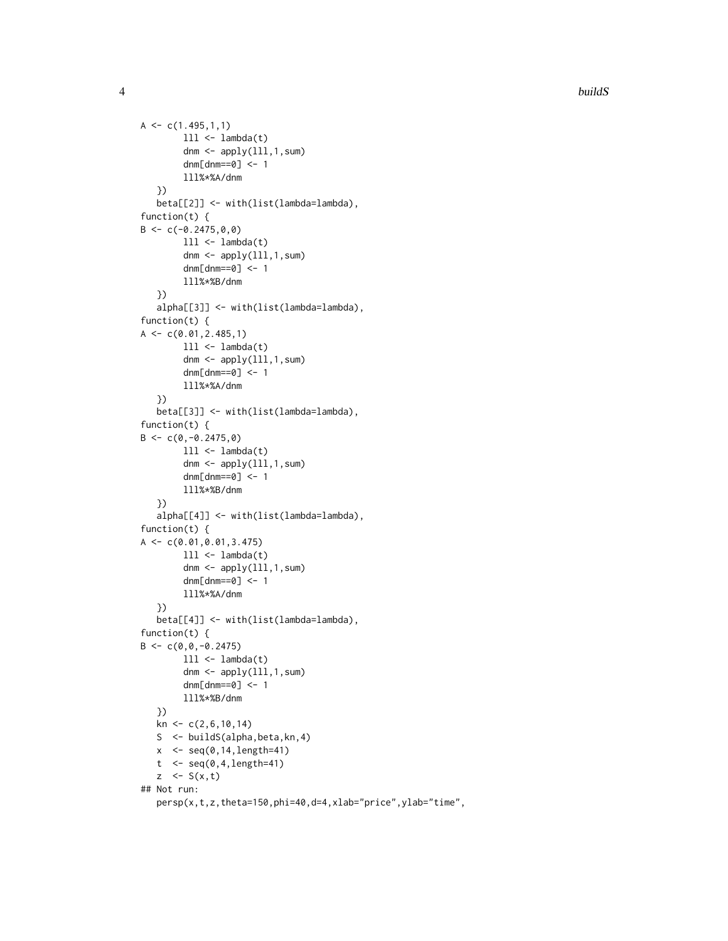```
A \leftarrow c(1.495, 1, 1)111 < - lambda(t)dnm \leq apply(111,1,\text{sum})
         dnm[dnm==0] <- 1
        lll%*%A/dnm
   })
   beta[[2]] <- with(list(lambda=lambda),
function(t) {
B \leq -c(-0.2475, 0, 0)111 < - lambda(t)dnm \leq apply(111,1,\text{sum})
         dnm[dnm==0] <- 1
         lll%*%B/dnm
   })
   alpha[[3]] <- with(list(lambda=lambda),
function(t) {
A \leftarrow c(0.01, 2.485, 1)111 < - lambda(t)
         dnm \leq apply(111,1,\text{sum})
         dnm[dnm==0] <- 1
        lll%*%A/dnm
   })
   beta[[3]] <- with(list(lambda=lambda),
function(t) {
B \leftarrow c(0, -0.2475, 0)111 < - lambda(t)
         dnm \leq apply(111,1,sum)
         dnm[dmm==0] <- 1
        lll%*%B/dnm
   })
   alpha[[4]] <- with(list(lambda=lambda),
function(t) {
A \leftarrow c(0.01, 0.01, 3.475)111 < - lambda(t)
         dnm \leq apply(lll, 1, sum)
         dnm[dmm==0] <- 1
        lll%*%A/dnm
   })
   beta[[4]] <- with(list(lambda=lambda),
function(t) {
B \leftarrow c(0, 0, -0.2475)lll <- lambda(t)
         dnm \leq apply(111,1,\text{sum})
         dnm[dnm==0] <- 1
        lll%*%B/dnm
   })
   kn <- c(2,6,10,14)
   S <- buildS(alpha,beta,kn,4)
   x \leq -\text{seq}(0, 14, \text{length}=41)t \leftarrow seq(0, 4,length=41)
   z \leq S(x,t)## Not run:
   persp(x,t,z,theta=150,phi=40,d=4,xlab="price",ylab="time",
```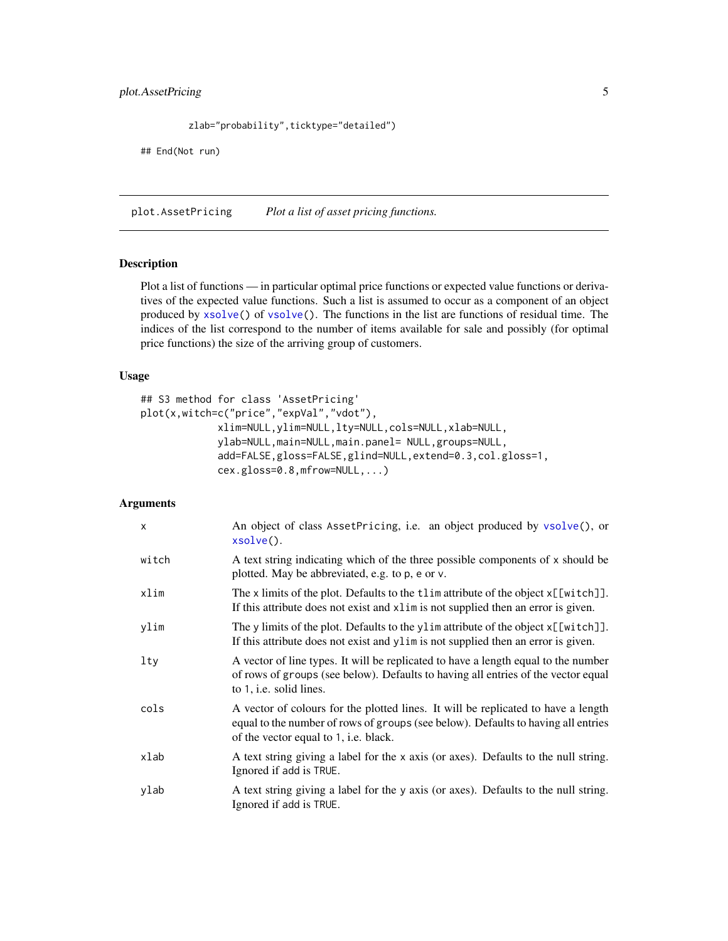```
zlab="probability",ticktype="detailed")
```
<span id="page-4-0"></span>## End(Not run)

<span id="page-4-1"></span>plot.AssetPricing *Plot a list of asset pricing functions.*

## Description

Plot a list of functions — in particular optimal price functions or expected value functions or derivatives of the expected value functions. Such a list is assumed to occur as a component of an object produced by [xsolve\(](#page-10-1)) of [vsolve\(](#page-7-1)). The functions in the list are functions of residual time. The indices of the list correspond to the number of items available for sale and possibly (for optimal price functions) the size of the arriving group of customers.

## Usage

```
## S3 method for class 'AssetPricing'
plot(x,witch=c("price","expVal","vdot"),
             xlim=NULL,ylim=NULL,lty=NULL,cols=NULL,xlab=NULL,
             ylab=NULL,main=NULL,main.panel= NULL,groups=NULL,
             add=FALSE,gloss=FALSE,glind=NULL,extend=0.3,col.gloss=1,
             cex.gloss=0.8,mfrow=NULL,...)
```
## Arguments

| $\mathsf{x}$ | An object of class AssetPricing, i.e. an object produced by vsolve(), or<br>xsolve().                                                                                                                                  |
|--------------|------------------------------------------------------------------------------------------------------------------------------------------------------------------------------------------------------------------------|
| witch        | A text string indicating which of the three possible components of x should be<br>plotted. May be abbreviated, e.g. to p, e or v.                                                                                      |
| xlim         | The x limits of the plot. Defaults to the tlim attribute of the object x[[witch]].<br>If this attribute does not exist and x1im is not supplied then an error is given.                                                |
| ylim         | The y limits of the plot. Defaults to the ylim attribute of the object x[[witch]].<br>If this attribute does not exist and y l im is not supplied then an error is given.                                              |
| lty          | A vector of line types. It will be replicated to have a length equal to the number<br>of rows of groups (see below). Defaults to having all entries of the vector equal<br>to 1, <i>i.e.</i> solid lines.              |
| cols         | A vector of colours for the plotted lines. It will be replicated to have a length<br>equal to the number of rows of groups (see below). Defaults to having all entries<br>of the vector equal to 1, <i>i.e.</i> black. |
| xlab         | A text string giving a label for the x axis (or axes). Defaults to the null string.<br>Ignored if add is TRUE.                                                                                                         |
| ylab         | A text string giving a label for the y axis (or axes). Defaults to the null string.<br>Ignored if add is TRUE.                                                                                                         |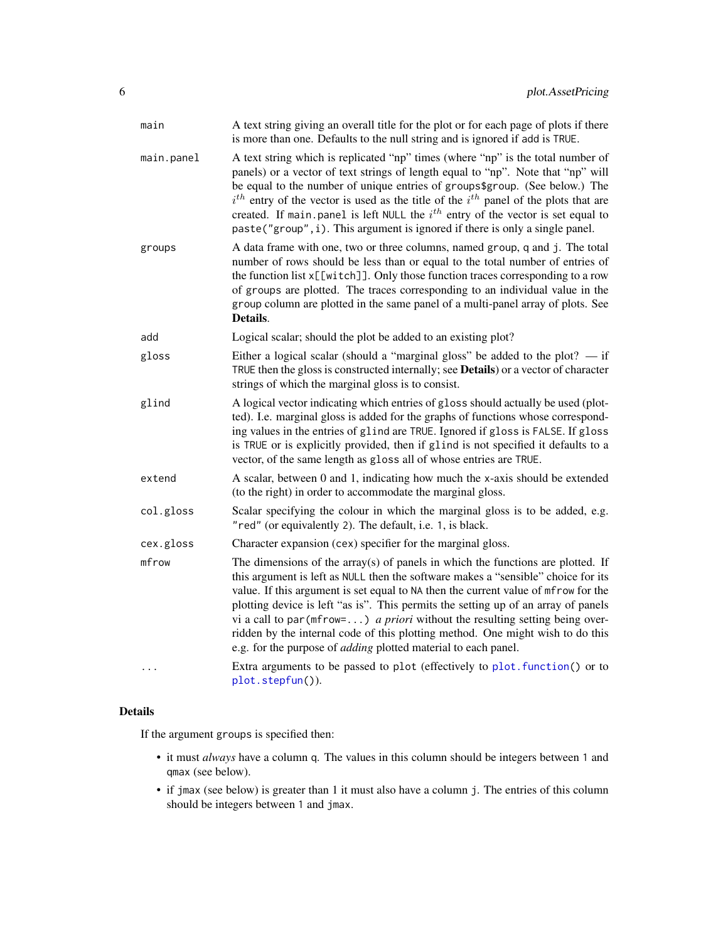<span id="page-5-0"></span>

| main       | A text string giving an overall title for the plot or for each page of plots if there<br>is more than one. Defaults to the null string and is ignored if add is TRUE.                                                                                                                                                                                                                                                                                                                                                                                                                                    |
|------------|----------------------------------------------------------------------------------------------------------------------------------------------------------------------------------------------------------------------------------------------------------------------------------------------------------------------------------------------------------------------------------------------------------------------------------------------------------------------------------------------------------------------------------------------------------------------------------------------------------|
| main.panel | A text string which is replicated "np" times (where "np" is the total number of<br>panels) or a vector of text strings of length equal to "np". Note that "np" will<br>be equal to the number of unique entries of groups\$group. (See below.) The<br>$i^{th}$ entry of the vector is used as the title of the $i^{th}$ panel of the plots that are<br>created. If main panel is left NULL the $ith$ entry of the vector is set equal to<br>paste("group", i). This argument is ignored if there is only a single panel.                                                                                 |
| groups     | A data frame with one, two or three columns, named group, q and j. The total<br>number of rows should be less than or equal to the total number of entries of<br>the function list x[[witch]]. Only those function traces corresponding to a row<br>of groups are plotted. The traces corresponding to an individual value in the<br>group column are plotted in the same panel of a multi-panel array of plots. See<br>Details.                                                                                                                                                                         |
| add        | Logical scalar; should the plot be added to an existing plot?                                                                                                                                                                                                                                                                                                                                                                                                                                                                                                                                            |
| gloss      | Either a logical scalar (should a "marginal gloss" be added to the plot? $-$ if<br>TRUE then the gloss is constructed internally; see Details) or a vector of character<br>strings of which the marginal gloss is to consist.                                                                                                                                                                                                                                                                                                                                                                            |
| glind      | A logical vector indicating which entries of gloss should actually be used (plot-<br>ted). I.e. marginal gloss is added for the graphs of functions whose correspond-<br>ing values in the entries of glind are TRUE. Ignored if gloss is FALSE. If gloss<br>is TRUE or is explicitly provided, then if glind is not specified it defaults to a<br>vector, of the same length as gloss all of whose entries are TRUE.                                                                                                                                                                                    |
| extend     | A scalar, between 0 and 1, indicating how much the x-axis should be extended<br>(to the right) in order to accommodate the marginal gloss.                                                                                                                                                                                                                                                                                                                                                                                                                                                               |
| col.gloss  | Scalar specifying the colour in which the marginal gloss is to be added, e.g.<br>"red" (or equivalently 2). The default, i.e. 1, is black.                                                                                                                                                                                                                                                                                                                                                                                                                                                               |
| cex.gloss  | Character expansion (cex) specifier for the marginal gloss.                                                                                                                                                                                                                                                                                                                                                                                                                                                                                                                                              |
| mfrow      | The dimensions of the $array(s)$ of panels in which the functions are plotted. If<br>this argument is left as NULL then the software makes a "sensible" choice for its<br>value. If this argument is set equal to NA then the current value of mfrow for the<br>plotting device is left "as is". This permits the setting up of an array of panels<br>vi a call to par ( $m$ frow=) <i>a priori</i> without the resulting setting being over-<br>ridden by the internal code of this plotting method. One might wish to do this<br>e.g. for the purpose of <i>adding</i> plotted material to each panel. |
|            | Extra arguments to be passed to plot (effectively to plot. function() or to<br>plot.stepfun()).                                                                                                                                                                                                                                                                                                                                                                                                                                                                                                          |

## Details

If the argument groups is specified then:

- it must *always* have a column q. The values in this column should be integers between 1 and qmax (see below).
- if jmax (see below) is greater than 1 it must also have a column j. The entries of this column should be integers between 1 and jmax.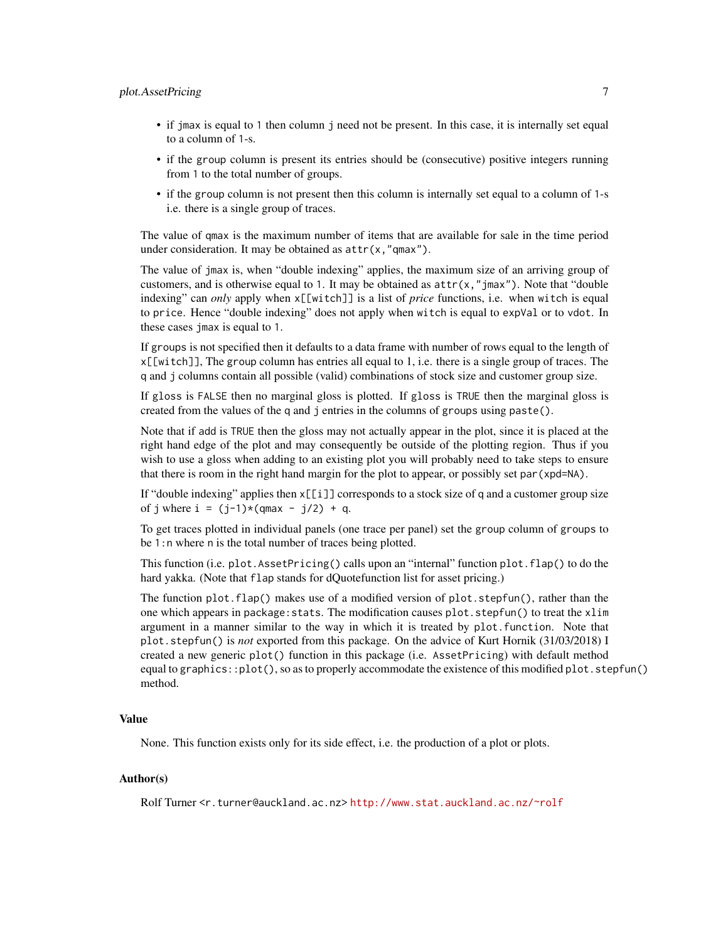## plot.AssetPricing 7

- if jmax is equal to 1 then column j need not be present. In this case, it is internally set equal to a column of 1-s.
- if the group column is present its entries should be (consecutive) positive integers running from 1 to the total number of groups.
- if the group column is not present then this column is internally set equal to a column of 1-s i.e. there is a single group of traces.

The value of qmax is the maximum number of items that are available for sale in the time period under consideration. It may be obtained as attr(x,"qmax").

The value of jmax is, when "double indexing" applies, the maximum size of an arriving group of customers, and is otherwise equal to 1. It may be obtained as  $attr(x, "jmax")$ . Note that "double" indexing" can *only* apply when x[[witch]] is a list of *price* functions, i.e. when witch is equal to price. Hence "double indexing" does not apply when witch is equal to expVal or to vdot. In these cases jmax is equal to 1.

If groups is not specified then it defaults to a data frame with number of rows equal to the length of  $x[\text{width}]\text{]}$ , The group column has entries all equal to 1, i.e. there is a single group of traces. The q and j columns contain all possible (valid) combinations of stock size and customer group size.

If gloss is FALSE then no marginal gloss is plotted. If gloss is TRUE then the marginal gloss is created from the values of the q and j entries in the columns of groups using paste().

Note that if add is TRUE then the gloss may not actually appear in the plot, since it is placed at the right hand edge of the plot and may consequently be outside of the plotting region. Thus if you wish to use a gloss when adding to an existing plot you will probably need to take steps to ensure that there is room in the right hand margin for the plot to appear, or possibly set par(xpd=NA).

If "double indexing" applies then x[[i]] corresponds to a stock size of q and a customer group size of j where  $i = (j-1)*(qmax - j/2) + q$ .

To get traces plotted in individual panels (one trace per panel) set the group column of groups to be 1:n where n is the total number of traces being plotted.

This function (i.e. plot.AssetPricing() calls upon an "internal" function plot.flap() to do the hard yakka. (Note that flap stands for dQuotefunction list for asset pricing.)

The function plot.flap() makes use of a modified version of plot.stepfun(), rather than the one which appears in package:stats. The modification causes plot.stepfun() to treat the xlim argument in a manner similar to the way in which it is treated by plot.function. Note that plot.stepfun() is *not* exported from this package. On the advice of Kurt Hornik (31/03/2018) I created a new generic plot() function in this package (i.e. AssetPricing) with default method equal to graphics:: $plot()$ , so as to properly accommodate the existence of this modified plot. stepfun() method.

## Value

None. This function exists only for its side effect, i.e. the production of a plot or plots.

## Author(s)

Rolf Turner <r.turner@auckland.ac.nz> <http://www.stat.auckland.ac.nz/~rolf>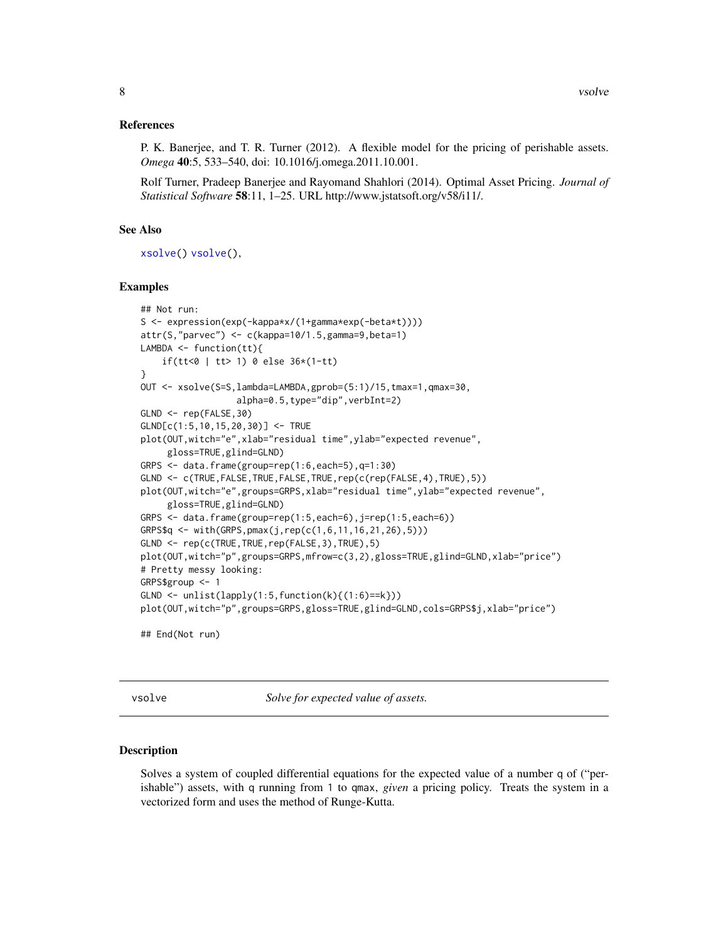## <span id="page-7-0"></span>References

P. K. Banerjee, and T. R. Turner (2012). A flexible model for the pricing of perishable assets. *Omega* 40:5, 533–540, doi: 10.1016/j.omega.2011.10.001.

Rolf Turner, Pradeep Banerjee and Rayomand Shahlori (2014). Optimal Asset Pricing. *Journal of Statistical Software* 58:11, 1–25. URL http://www.jstatsoft.org/v58/i11/.

## See Also

[xsolve\(](#page-10-1)) [vsolve\(](#page-7-1)),

## Examples

```
## Not run:
S <- expression(exp(-kappa*x/(1+gamma*exp(-beta*t))))
attr(S,"parvec") <- c(kappa=10/1.5,gamma=9,beta=1)
LAMBDA \leq function(tt){
   if(tt<0 | tt> 1) 0 else 36*(1-tt)
}
OUT <- xsolve(S=S,lambda=LAMBDA,gprob=(5:1)/15,tmax=1,qmax=30,
                  alpha=0.5,type="dip",verbInt=2)
GLND <- rep(FALSE,30)
GLND[c(1:5,10,15,20,30)] <- TRUE
plot(OUT,witch="e",xlab="residual time",ylab="expected revenue",
     gloss=TRUE,glind=GLND)
GRPS <- data.frame(group=rep(1:6,each=5),q=1:30)
GLND <- c(TRUE,FALSE,TRUE,FALSE,TRUE,rep(c(rep(FALSE,4),TRUE),5))
plot(OUT, witch="e", groups=GRPS, xlab="residual time", ylab="expected revenue",
     gloss=TRUE,glind=GLND)
GRPS <- data.frame(group=rep(1:5,each=6),j=rep(1:5,each=6))
GRPS$q <- with(GRPS,pmax(j,rep(c(1,6,11,16,21,26),5)))
GLND <- rep(c(TRUE,TRUE,rep(FALSE,3),TRUE),5)
plot(OUT,witch="p",groups=GRPS,mfrow=c(3,2),gloss=TRUE,glind=GLND,xlab="price")
# Pretty messy looking:
GRPS$group <- 1
GLND \leftarrow unlist(lapply(1:5, function(k){(1:6)==k}))
plot(OUT,witch="p",groups=GRPS,gloss=TRUE,glind=GLND,cols=GRPS$j,xlab="price")
## End(Not run)
```
<span id="page-7-1"></span>vsolve *Solve for expected value of assets.*

## Description

Solves a system of coupled differential equations for the expected value of a number q of ("perishable") assets, with q running from 1 to qmax, *given* a pricing policy. Treats the system in a vectorized form and uses the method of Runge-Kutta.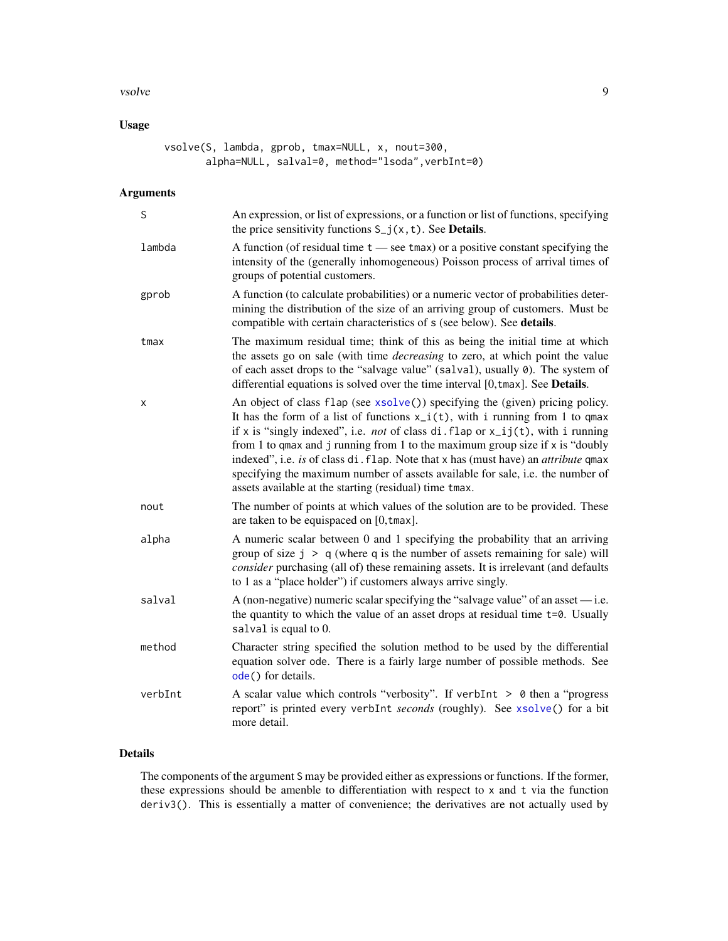## <span id="page-8-0"></span>vsolve 9

## Usage

vsolve(S, lambda, gprob, tmax=NULL, x, nout=300, alpha=NULL, salval=0, method="lsoda", verbInt=0)

## Arguments

| S       | An expression, or list of expressions, or a function or list of functions, specifying<br>the price sensitivity functions $S_{-}j(x, t)$ . See <b>Details</b> .                                                                                                                                                                                                                                                                                                                                                                                                                              |
|---------|---------------------------------------------------------------------------------------------------------------------------------------------------------------------------------------------------------------------------------------------------------------------------------------------------------------------------------------------------------------------------------------------------------------------------------------------------------------------------------------------------------------------------------------------------------------------------------------------|
| lambda  | A function (of residual time $t$ — see tmax) or a positive constant specifying the<br>intensity of the (generally inhomogeneous) Poisson process of arrival times of<br>groups of potential customers.                                                                                                                                                                                                                                                                                                                                                                                      |
| gprob   | A function (to calculate probabilities) or a numeric vector of probabilities deter-<br>mining the distribution of the size of an arriving group of customers. Must be<br>compatible with certain characteristics of s (see below). See details.                                                                                                                                                                                                                                                                                                                                             |
| tmax    | The maximum residual time; think of this as being the initial time at which<br>the assets go on sale (with time <i>decreasing</i> to zero, at which point the value<br>of each asset drops to the "salvage value" (salval), usually 0). The system of<br>differential equations is solved over the time interval [0, tmax]. See Details.                                                                                                                                                                                                                                                    |
| х       | An object of class flap (see xsolve()) specifying the (given) pricing policy.<br>It has the form of a list of functions $x_i(t)$ , with i running from 1 to qmax<br>if x is "singly indexed", i.e. <i>not</i> of class di. flap or $x_{ij}(t)$ , with i running<br>from 1 to qmax and j running from 1 to the maximum group size if $x$ is "doubly<br>indexed", i.e. is of class di. flap. Note that x has (must have) an <i>attribute</i> qmax<br>specifying the maximum number of assets available for sale, i.e. the number of<br>assets available at the starting (residual) time tmax. |
| nout    | The number of points at which values of the solution are to be provided. These<br>are taken to be equispaced on [0, tmax].                                                                                                                                                                                                                                                                                                                                                                                                                                                                  |
| alpha   | A numeric scalar between 0 and 1 specifying the probability that an arriving<br>group of size $j > q$ (where q is the number of assets remaining for sale) will<br>consider purchasing (all of) these remaining assets. It is irrelevant (and defaults<br>to 1 as a "place holder") if customers always arrive singly.                                                                                                                                                                                                                                                                      |
| salval  | A (non-negative) numeric scalar specifying the "salvage value" of an asset $-$ i.e.<br>the quantity to which the value of an asset drops at residual time t=0. Usually<br>salval is equal to 0.                                                                                                                                                                                                                                                                                                                                                                                             |
| method  | Character string specified the solution method to be used by the differential<br>equation solver ode. There is a fairly large number of possible methods. See<br>ode() for details.                                                                                                                                                                                                                                                                                                                                                                                                         |
| verbInt | A scalar value which controls "verbosity". If verbInt $> 0$ then a "progress"<br>report" is printed every verbInt seconds (roughly). See xsolve() for a bit<br>more detail.                                                                                                                                                                                                                                                                                                                                                                                                                 |

## Details

The components of the argument S may be provided either as expressions or functions. If the former, these expressions should be amenble to differentiation with respect to x and t via the function deriv3(). This is essentially a matter of convenience; the derivatives are not actually used by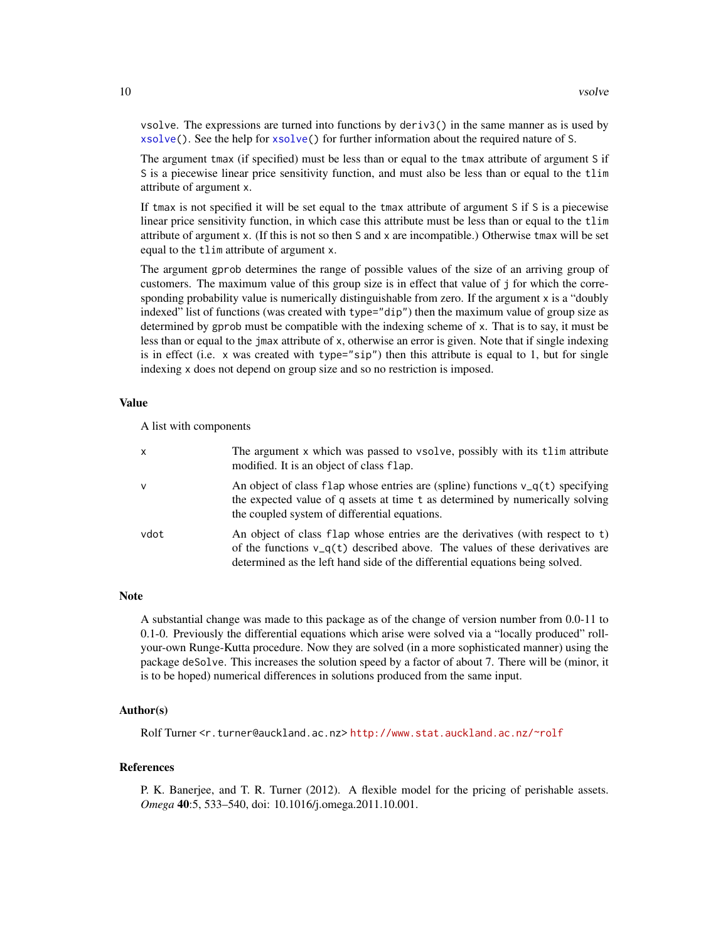vsolve. The expressions are turned into functions by deriv3() in the same manner as is used by [xsolve\(](#page-10-1)). See the help for [xsolve\(](#page-10-1)) for further information about the required nature of S.

The argument tmax (if specified) must be less than or equal to the tmax attribute of argument S if S is a piecewise linear price sensitivity function, and must also be less than or equal to the tlim attribute of argument x.

If tmax is not specified it will be set equal to the tmax attribute of argument S if S is a piecewise linear price sensitivity function, in which case this attribute must be less than or equal to the tlim attribute of argument x. (If this is not so then S and x are incompatible.) Otherwise tmax will be set equal to the tlim attribute of argument x.

The argument gprob determines the range of possible values of the size of an arriving group of customers. The maximum value of this group size is in effect that value of j for which the corresponding probability value is numerically distinguishable from zero. If the argument x is a "doubly indexed" list of functions (was created with type="dip") then the maximum value of group size as determined by gprob must be compatible with the indexing scheme of x. That is to say, it must be less than or equal to the jmax attribute of x, otherwise an error is given. Note that if single indexing is in effect (i.e.  $\times$  was created with type=" $\sin$ ") then this attribute is equal to 1, but for single indexing x does not depend on group size and so no restriction is imposed.

## Value

A list with components

| $\mathsf{x}$ | The argument x which was passed to vsolve, possibly with its tlim attribute<br>modified. It is an object of class flap.                                                                                                                         |
|--------------|-------------------------------------------------------------------------------------------------------------------------------------------------------------------------------------------------------------------------------------------------|
| $\mathsf{v}$ | An object of class flap whose entries are (spline) functions $v_q(t)$ specifying<br>the expected value of q assets at time t as determined by numerically solving<br>the coupled system of differential equations.                              |
| vdot         | An object of class flap whose entries are the derivatives (with respect to t)<br>of the functions $v_q(t)$ described above. The values of these derivatives are<br>determined as the left hand side of the differential equations being solved. |

## **Note**

A substantial change was made to this package as of the change of version number from 0.0-11 to 0.1-0. Previously the differential equations which arise were solved via a "locally produced" rollyour-own Runge-Kutta procedure. Now they are solved (in a more sophisticated manner) using the package deSolve. This increases the solution speed by a factor of about 7. There will be (minor, it is to be hoped) numerical differences in solutions produced from the same input.

## Author(s)

Rolf Turner <r.turner@auckland.ac.nz> <http://www.stat.auckland.ac.nz/~rolf>

## References

P. K. Banerjee, and T. R. Turner (2012). A flexible model for the pricing of perishable assets. *Omega* 40:5, 533–540, doi: 10.1016/j.omega.2011.10.001.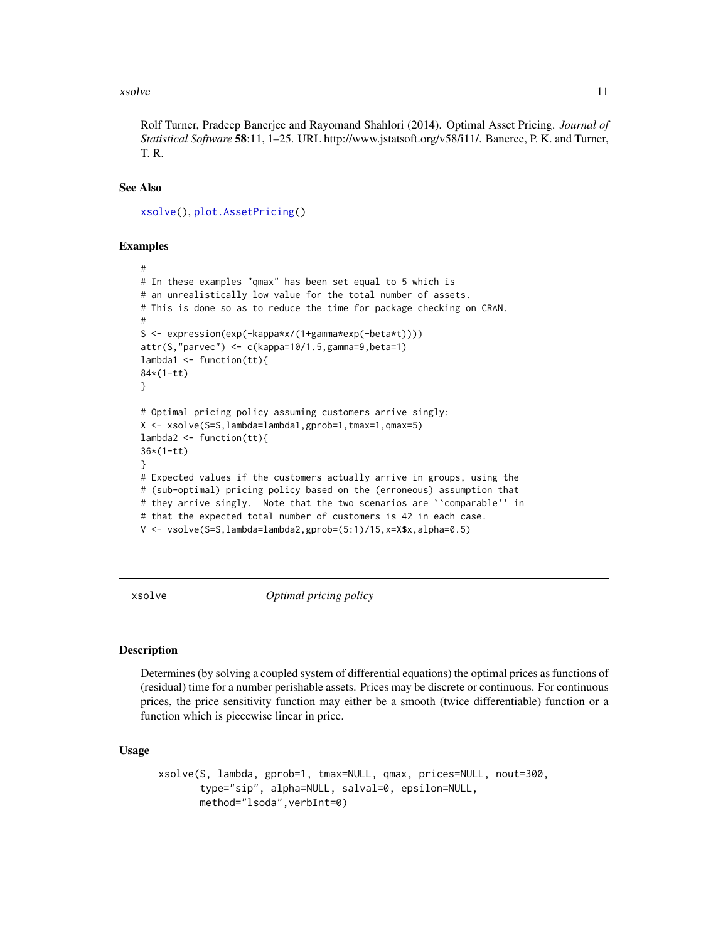## <span id="page-10-0"></span>xsolve 11

Rolf Turner, Pradeep Banerjee and Rayomand Shahlori (2014). Optimal Asset Pricing. *Journal of Statistical Software* 58:11, 1–25. URL http://www.jstatsoft.org/v58/i11/. Baneree, P. K. and Turner, T. R.

## See Also

```
xsolve(), plot.AssetPricing()
```
## Examples

```
#
# In these examples "qmax" has been set equal to 5 which is
# an unrealistically low value for the total number of assets.
# This is done so as to reduce the time for package checking on CRAN.
#
S <- expression(exp(-kappa*x/(1+gamma*exp(-beta*t))))
attr(S,"parvec") <- c(kappa=10/1.5,gamma=9,beta=1)
lambda1 <- function(tt){
84*(1-tt)
}
# Optimal pricing policy assuming customers arrive singly:
X <- xsolve(S=S,lambda=lambda1,gprob=1,tmax=1,qmax=5)
lambda2 <- function(tt){
36*(1-tt)
}
# Expected values if the customers actually arrive in groups, using the
# (sub-optimal) pricing policy based on the (erroneous) assumption that
# they arrive singly. Note that the two scenarios are ``comparable'' in
# that the expected total number of customers is 42 in each case.
V <- vsolve(S=S,lambda=lambda2,gprob=(5:1)/15,x=X$x,alpha=0.5)
```
<span id="page-10-1"></span>xsolve *Optimal pricing policy*

#### Description

Determines (by solving a coupled system of differential equations) the optimal prices as functions of (residual) time for a number perishable assets. Prices may be discrete or continuous. For continuous prices, the price sensitivity function may either be a smooth (twice differentiable) function or a function which is piecewise linear in price.

## Usage

```
xsolve(S, lambda, gprob=1, tmax=NULL, qmax, prices=NULL, nout=300,
       type="sip", alpha=NULL, salval=0, epsilon=NULL,
       method="lsoda",verbInt=0)
```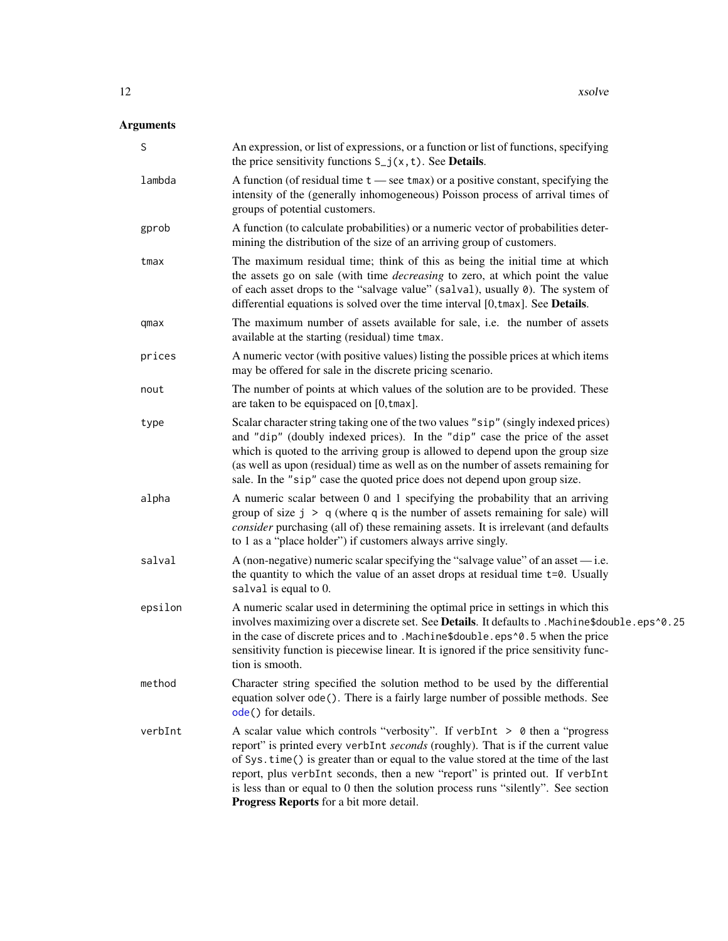## <span id="page-11-0"></span>Arguments

| S       | An expression, or list of expressions, or a function or list of functions, specifying<br>the price sensitivity functions $S_{-}j(x, t)$ . See <b>Details</b> .                                                                                                                                                                                                                                                                                                          |
|---------|-------------------------------------------------------------------------------------------------------------------------------------------------------------------------------------------------------------------------------------------------------------------------------------------------------------------------------------------------------------------------------------------------------------------------------------------------------------------------|
| lambda  | A function (of residual time $t$ — see tmax) or a positive constant, specifying the<br>intensity of the (generally inhomogeneous) Poisson process of arrival times of<br>groups of potential customers.                                                                                                                                                                                                                                                                 |
| gprob   | A function (to calculate probabilities) or a numeric vector of probabilities deter-<br>mining the distribution of the size of an arriving group of customers.                                                                                                                                                                                                                                                                                                           |
| tmax    | The maximum residual time; think of this as being the initial time at which<br>the assets go on sale (with time <i>decreasing</i> to zero, at which point the value<br>of each asset drops to the "salvage value" (salval), usually 0). The system of<br>differential equations is solved over the time interval [0,tmax]. See Details.                                                                                                                                 |
| qmax    | The maximum number of assets available for sale, i.e. the number of assets<br>available at the starting (residual) time tmax.                                                                                                                                                                                                                                                                                                                                           |
| prices  | A numeric vector (with positive values) listing the possible prices at which items<br>may be offered for sale in the discrete pricing scenario.                                                                                                                                                                                                                                                                                                                         |
| nout    | The number of points at which values of the solution are to be provided. These<br>are taken to be equispaced on [0, tmax].                                                                                                                                                                                                                                                                                                                                              |
| type    | Scalar character string taking one of the two values "sip" (singly indexed prices)<br>and "dip" (doubly indexed prices). In the "dip" case the price of the asset<br>which is quoted to the arriving group is allowed to depend upon the group size<br>(as well as upon (residual) time as well as on the number of assets remaining for<br>sale. In the "sip" case the quoted price does not depend upon group size.                                                   |
| alpha   | A numeric scalar between 0 and 1 specifying the probability that an arriving<br>group of size $j > q$ (where q is the number of assets remaining for sale) will<br>consider purchasing (all of) these remaining assets. It is irrelevant (and defaults<br>to 1 as a "place holder") if customers always arrive singly.                                                                                                                                                  |
| salval  | A (non-negative) numeric scalar specifying the "salvage value" of an asset $-$ i.e.<br>the quantity to which the value of an asset drops at residual time t=0. Usually<br>salval is equal to 0.                                                                                                                                                                                                                                                                         |
| epsilon | A numeric scalar used in determining the optimal price in settings in which this<br>involves maximizing over a discrete set. See Details. It defaults to .Machine\$double.eps^0.25<br>in the case of discrete prices and to .Machine\$double.eps^0.5 when the price<br>sensitivity function is piecewise linear. It is ignored if the price sensitivity func-<br>tion is smooth.                                                                                        |
| method  | Character string specified the solution method to be used by the differential<br>equation solver ode(). There is a fairly large number of possible methods. See<br>ode() for details.                                                                                                                                                                                                                                                                                   |
| verbInt | A scalar value which controls "verbosity". If verbInt $> 0$ then a "progress"<br>report" is printed every verbInt seconds (roughly). That is if the current value<br>of Sys.time() is greater than or equal to the value stored at the time of the last<br>report, plus verbInt seconds, then a new "report" is printed out. If verbInt<br>is less than or equal to 0 then the solution process runs "silently". See section<br>Progress Reports for a bit more detail. |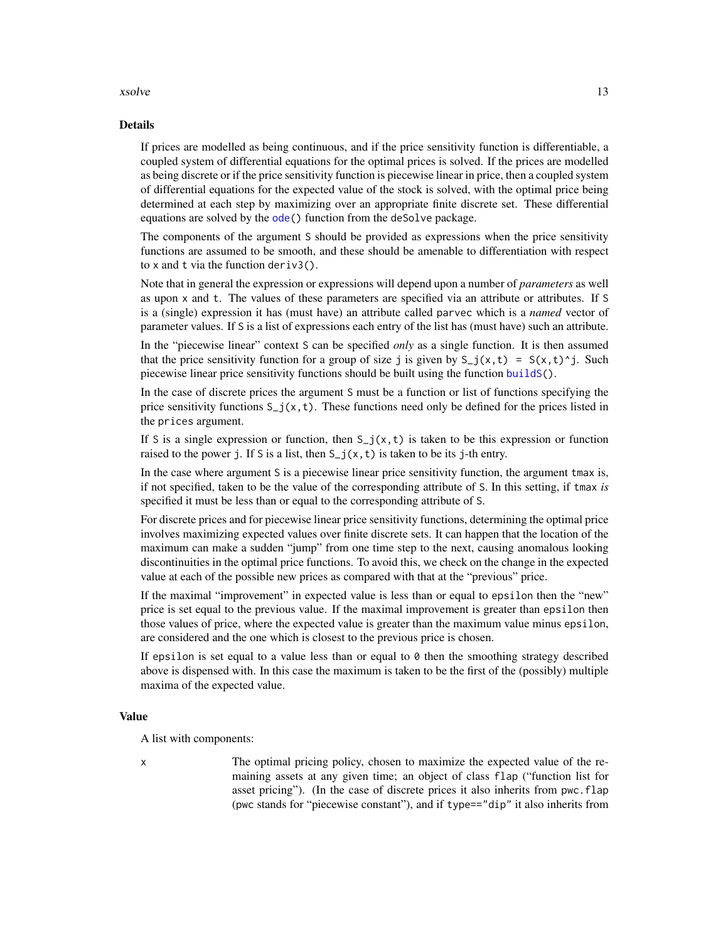## <span id="page-12-0"></span>xsolve 13

## Details

If prices are modelled as being continuous, and if the price sensitivity function is differentiable, a coupled system of differential equations for the optimal prices is solved. If the prices are modelled as being discrete or if the price sensitivity function is piecewise linear in price, then a coupled system of differential equations for the expected value of the stock is solved, with the optimal price being determined at each step by maximizing over an appropriate finite discrete set. These differential equations are solved by the [ode\(](#page-0-0)) function from the deSolve package.

The components of the argument S should be provided as expressions when the price sensitivity functions are assumed to be smooth, and these should be amenable to differentiation with respect to x and t via the function deriv3().

Note that in general the expression or expressions will depend upon a number of *parameters* as well as upon x and t. The values of these parameters are specified via an attribute or attributes. If S is a (single) expression it has (must have) an attribute called parvec which is a *named* vector of parameter values. If S is a list of expressions each entry of the list has (must have) such an attribute.

In the "piecewise linear" context S can be specified *only* as a single function. It is then assumed that the price sensitivity function for a group of size j is given by  $S_{-j}(x,t) = S(x,t)^{T}$ . Such piecewise linear price sensitivity functions should be built using the function [buildS\(](#page-1-1)).

In the case of discrete prices the argument S must be a function or list of functions specifying the price sensitivity functions  $S_{-}j(x,t)$ . These functions need only be defined for the prices listed in the prices argument.

If S is a single expression or function, then  $S_j(x,t)$  is taken to be this expression or function raised to the power j. If S is a list, then  $S_j(x, t)$  is taken to be its j-th entry.

In the case where argument S is a piecewise linear price sensitivity function, the argument tmax is, if not specified, taken to be the value of the corresponding attribute of S. In this setting, if tmax *is* specified it must be less than or equal to the corresponding attribute of S.

For discrete prices and for piecewise linear price sensitivity functions, determining the optimal price involves maximizing expected values over finite discrete sets. It can happen that the location of the maximum can make a sudden "jump" from one time step to the next, causing anomalous looking discontinuities in the optimal price functions. To avoid this, we check on the change in the expected value at each of the possible new prices as compared with that at the "previous" price.

If the maximal "improvement" in expected value is less than or equal to epsilon then the "new" price is set equal to the previous value. If the maximal improvement is greater than epsilon then those values of price, where the expected value is greater than the maximum value minus epsilon, are considered and the one which is closest to the previous price is chosen.

If epsilon is set equal to a value less than or equal to  $\theta$  then the smoothing strategy described above is dispensed with. In this case the maximum is taken to be the first of the (possibly) multiple maxima of the expected value.

## Value

A list with components:

x The optimal pricing policy, chosen to maximize the expected value of the remaining assets at any given time; an object of class flap ("function list for asset pricing"). (In the case of discrete prices it also inherits from pwc.flap (pwc stands for "piecewise constant"), and if type=="dip" it also inherits from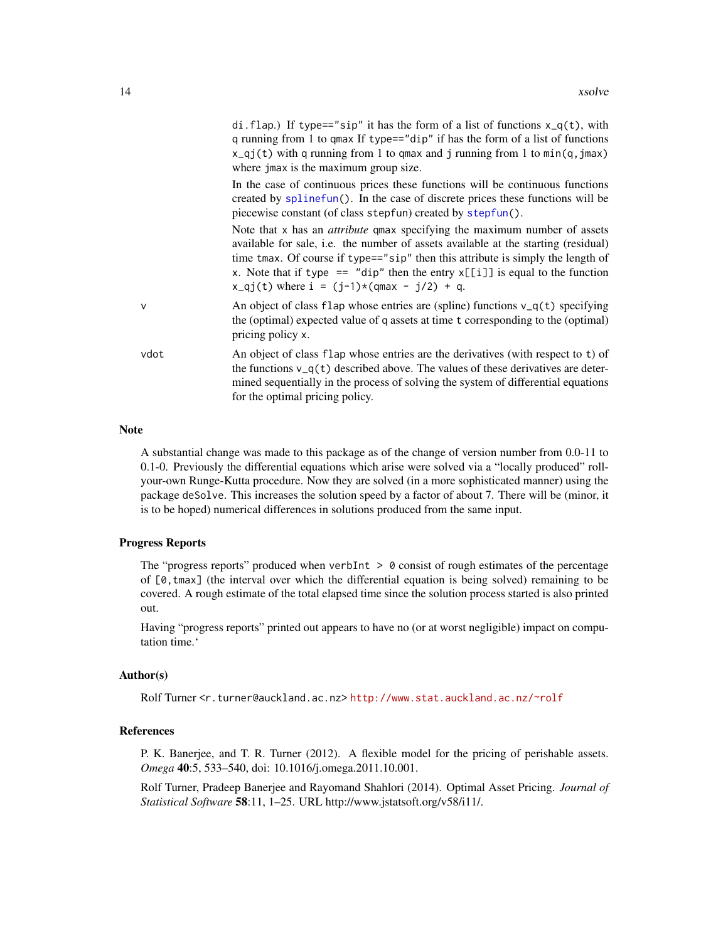<span id="page-13-0"></span>

|      | di. flap.) If type=="sip" it has the form of a list of functions $x_q(t)$ , with<br>q running from 1 to qmax If type=="dip" if has the form of a list of functions<br>$x_q$ j(t) with q running from 1 to qmax and j running from 1 to min(q, jmax)<br>where jmax is the maximum group size.                                                                                                    |
|------|-------------------------------------------------------------------------------------------------------------------------------------------------------------------------------------------------------------------------------------------------------------------------------------------------------------------------------------------------------------------------------------------------|
|      | In the case of continuous prices these functions will be continuous functions<br>created by splinefun(). In the case of discrete prices these functions will be<br>piecewise constant (of class stepfun) created by stepfun().                                                                                                                                                                  |
|      | Note that x has an <i>attribute</i> qmax specifying the maximum number of assets<br>available for sale, i.e. the number of assets available at the starting (residual)<br>time tmax. Of course if type=="sip" then this attribute is simply the length of<br>x. Note that if type $==$ "dip" then the entry $x[[i]]$ is equal to the function<br>$x_qj(t)$ where $i = (j-1)*(qmax - j/2) + q$ . |
| v    | An object of class flap whose entries are (spline) functions $v_q(t)$ specifying<br>the (optimal) expected value of q assets at time t corresponding to the (optimal)<br>pricing policy x.                                                                                                                                                                                                      |
| vdot | An object of class flap whose entries are the derivatives (with respect to t) of<br>the functions $v_q(t)$ described above. The values of these derivatives are deter-                                                                                                                                                                                                                          |

#### **Note**

A substantial change was made to this package as of the change of version number from 0.0-11 to 0.1-0. Previously the differential equations which arise were solved via a "locally produced" rollyour-own Runge-Kutta procedure. Now they are solved (in a more sophisticated manner) using the package deSolve. This increases the solution speed by a factor of about 7. There will be (minor, it is to be hoped) numerical differences in solutions produced from the same input.

for the optimal pricing policy.

mined sequentially in the process of solving the system of differential equations

## Progress Reports

The "progress reports" produced when verbInt  $> 0$  consist of rough estimates of the percentage of  $[0, \text{tmax}]$  (the interval over which the differential equation is being solved) remaining to be covered. A rough estimate of the total elapsed time since the solution process started is also printed out.

Having "progress reports" printed out appears to have no (or at worst negligible) impact on computation time.'

#### Author(s)

Rolf Turner <r.turner@auckland.ac.nz> <http://www.stat.auckland.ac.nz/~rolf>

## References

P. K. Banerjee, and T. R. Turner (2012). A flexible model for the pricing of perishable assets. *Omega* 40:5, 533–540, doi: 10.1016/j.omega.2011.10.001.

Rolf Turner, Pradeep Banerjee and Rayomand Shahlori (2014). Optimal Asset Pricing. *Journal of Statistical Software* 58:11, 1–25. URL http://www.jstatsoft.org/v58/i11/.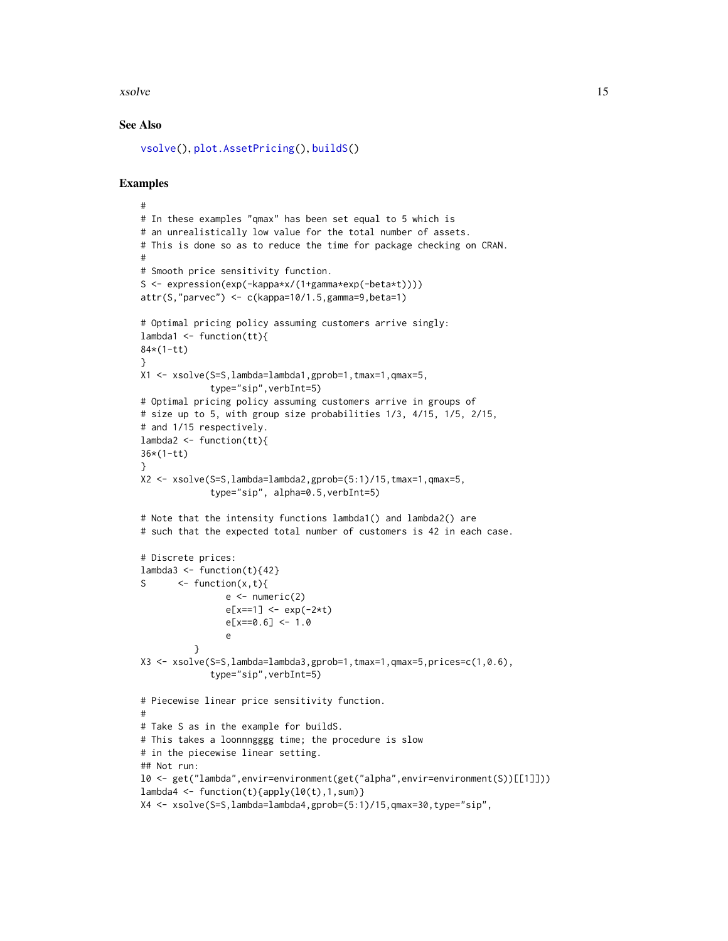## <span id="page-14-0"></span>xsolve the state of the state of the state of the state of the state of the state of the state of the state of the state of the state of the state of the state of the state of the state of the state of the state of the sta

## See Also

```
vsolve(), plot.AssetPricing(), buildS()
```
## Examples

```
#
# In these examples "qmax" has been set equal to 5 which is
# an unrealistically low value for the total number of assets.
# This is done so as to reduce the time for package checking on CRAN.
#
# Smooth price sensitivity function.
S <- expression(exp(-kappa*x/(1+gamma*exp(-beta*t))))
attr(S,"parvec") <- c(kappa=10/1.5,gamma=9,beta=1)
# Optimal pricing policy assuming customers arrive singly:
lambda1 \leftarrow function(tt)84*(1-tt)
}
X1 <- xsolve(S=S,lambda=lambda1,gprob=1,tmax=1,qmax=5,
             type="sip",verbInt=5)
# Optimal pricing policy assuming customers arrive in groups of
# size up to 5, with group size probabilities 1/3, 4/15, 1/5, 2/15,
# and 1/15 respectively.
lambda2 <- function(tt){
36*(1-tt)
}
X2 <- xsolve(S=S,lambda=lambda2,gprob=(5:1)/15,tmax=1,qmax=5,
             type="sip", alpha=0.5,verbInt=5)
# Note that the intensity functions lambda1() and lambda2() are
# such that the expected total number of customers is 42 in each case.
# Discrete prices:
lambda3 \leftarrow function(t){42}
S \leftarrow function(x, t){
                e \leftarrow numeric(2)
                e[x==1] <- exp(-2*t)
                e[x==0.6] < -1.0e
          }
X3 <- xsolve(S=S,lambda=lambda3,gprob=1,tmax=1,qmax=5,prices=c(1,0.6),
             type="sip",verbInt=5)
# Piecewise linear price sensitivity function.
#
# Take S as in the example for buildS.
# This takes a loonnngggg time; the procedure is slow
# in the piecewise linear setting.
## Not run:
l0 <- get("lambda",envir=environment(get("alpha",envir=environment(S))[[1]]))
lambda4 \leftarrow function(t){apply(l0(t), 1, sum)}
X4 <- xsolve(S=S,lambda=lambda4,gprob=(5:1)/15,qmax=30,type="sip",
```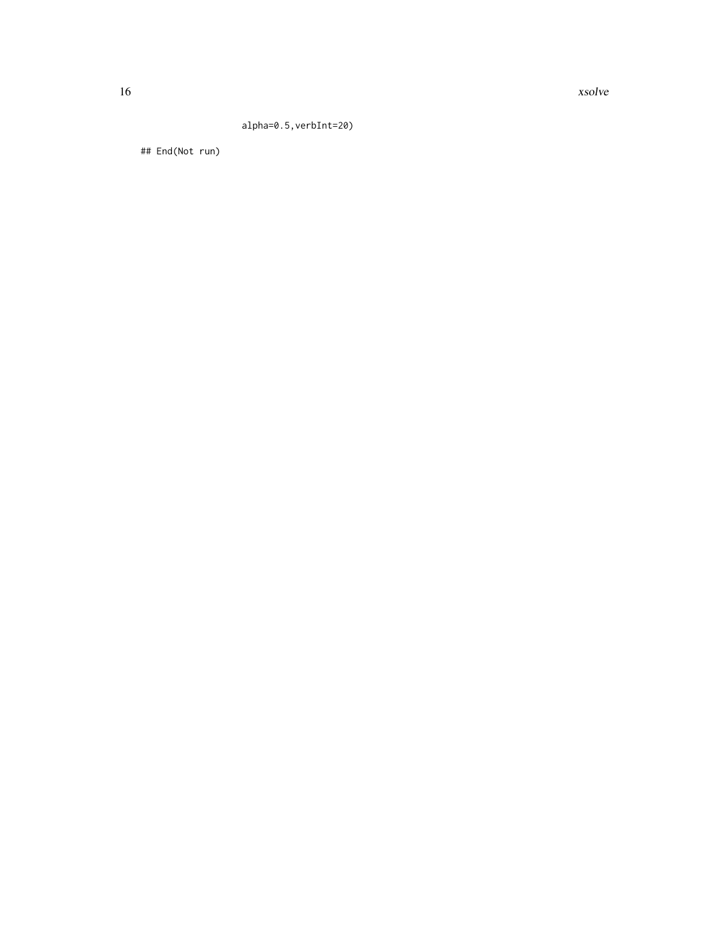16 xsolve

## alpha=0.5,verbInt=20)

## End(Not run)